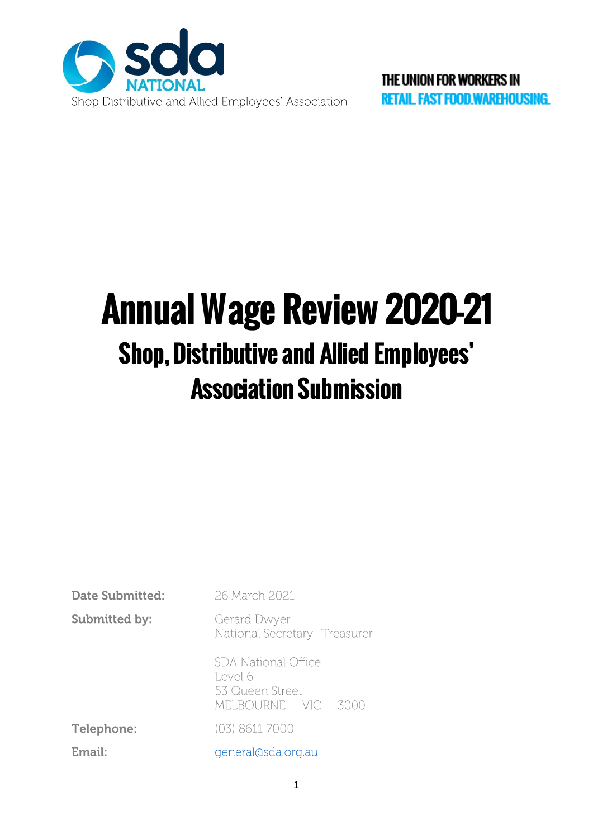

THE UNION FOR WORKERS IN **RETAIL FAST FOOD WAREHOUSING** 

# Annual Wage Review 2020-21 Shop, Distributive and Allied Employees' Association Submission

| Date Submitted:      | 26 March 2021                                                                        |
|----------------------|--------------------------------------------------------------------------------------|
| <b>Submitted by:</b> | Gerard Dwyer<br>National Secretary-Treasurer                                         |
|                      | <b>SDA National Office</b><br>Level 6<br>53 Queen Street<br>MELBOURNE VIC<br>3()()() |
| <b>Telephone:</b>    | (03) 8611 7000                                                                       |
| Email:               | general@sda.org.au                                                                   |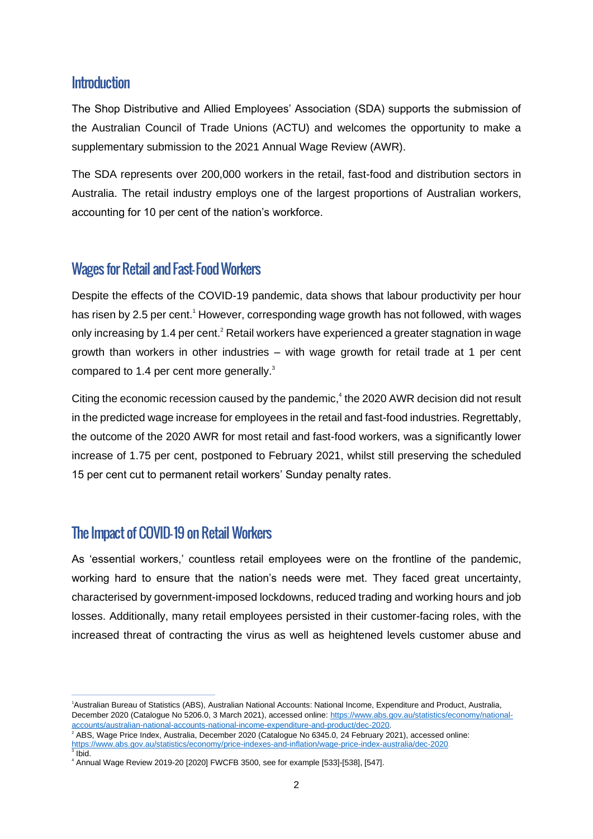#### **Introduction**

The Shop Distributive and Allied Employees' Association (SDA) supports the submission of the Australian Council of Trade Unions (ACTU) and welcomes the opportunity to make a supplementary submission to the 2021 Annual Wage Review (AWR).

The SDA represents over 200,000 workers in the retail, fast-food and distribution sectors in Australia. The retail industry employs one of the largest proportions of Australian workers, accounting for 10 per cent of the nation's workforce.

## Wages for Retail and Fast-Food Workers

Despite the effects of the COVID-19 pandemic, data shows that labour productivity per hour has risen by 2.5 per cent.<sup>1</sup> However, corresponding wage growth has not followed, with wages only increasing by 1.4 per cent.<sup>2</sup> Retail workers have experienced a greater stagnation in wage growth than workers in other industries – with wage growth for retail trade at 1 per cent compared to 1.4 per cent more generally.<sup>3</sup>

Citing the economic recession caused by the pandemic, $4$  the 2020 AWR decision did not result in the predicted wage increase for employees in the retail and fast-food industries. Regrettably, the outcome of the 2020 AWR for most retail and fast-food workers, was a significantly lower increase of 1.75 per cent, postponed to February 2021, whilst still preserving the scheduled 15 per cent cut to permanent retail workers' Sunday penalty rates.

# The Impact of COVID-19 on Retail Workers

As 'essential workers,' countless retail employees were on the frontline of the pandemic, working hard to ensure that the nation's needs were met. They faced great uncertainty, characterised by government-imposed lockdowns, reduced trading and working hours and job losses. Additionally, many retail employees persisted in their customer-facing roles, with the increased threat of contracting the virus as well as heightened levels customer abuse and

<sup>1</sup>Australian Bureau of Statistics (ABS), *Australian National Accounts: National Income, Expenditure and Product*, *Australia, December 2020* (Catalogue No 5206.0, 3 March 2021), accessed online[: https://www.abs.gov.au/statistics/economy/national](https://www.abs.gov.au/statistics/economy/national-accounts/australian-national-accounts-national-income-expenditure-and-product/dec-2020)[accounts/australian-national-accounts-national-income-expenditure-and-product/dec-2020.](https://www.abs.gov.au/statistics/economy/national-accounts/australian-national-accounts-national-income-expenditure-and-product/dec-2020)

<sup>2</sup> ABS, *Wage Price Index, Australia*, *December 2020* (Catalogue No 6345.0, 24 February 2021), accessed online: [https://www.abs.gov.au/statistics/economy/price-indexes-and-inflation/wage-price-index-australia/dec-2020.](https://www.abs.gov.au/statistics/economy/price-indexes-and-inflation/wage-price-index-australia/dec-2020)

<sup>3</sup> Ibid. <sup>4</sup> *Annual Wage Review 2019-20* [2020] FWCFB 3500, see for example [533]-[538], [547].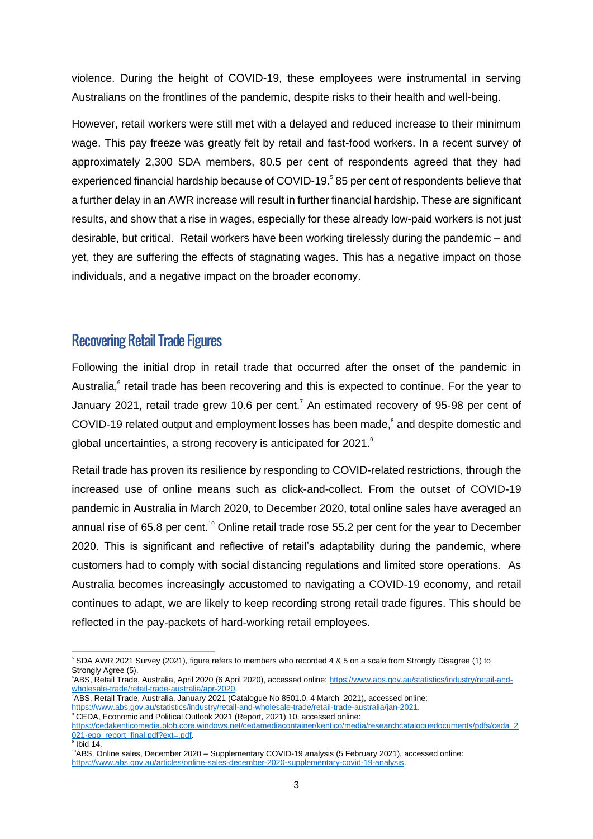violence. During the height of COVID-19, these employees were instrumental in serving Australians on the frontlines of the pandemic, despite risks to their health and well-being.

However, retail workers were still met with a delayed and reduced increase to their minimum wage. This pay freeze was greatly felt by retail and fast-food workers. In a recent survey of approximately 2,300 SDA members, 80.5 per cent of respondents agreed that they had experienced financial hardship because of COVID-19.<sup>5</sup> 85 per cent of respondents believe that a further delay in an AWR increase will result in further financial hardship. These are significant results, and show that a rise in wages, especially for these already low-paid workers is not just desirable, but critical. Retail workers have been working tirelessly during the pandemic – and yet, they are suffering the effects of stagnating wages. This has a negative impact on those individuals, and a negative impact on the broader economy.

### Recovering Retail Trade Figures

Following the initial drop in retail trade that occurred after the onset of the pandemic in Australia,<sup>6</sup> retail trade has been recovering and this is expected to continue. For the year to January 2021, retail trade grew 10.6 per cent.<sup>7</sup> An estimated recovery of 95-98 per cent of COVID-19 related output and employment losses has been made,<sup>8</sup> and despite domestic and global uncertainties, a strong recovery is anticipated for 2021.<sup>9</sup>

Retail trade has proven its resilience by responding to COVID-related restrictions, through the increased use of online means such as click-and-collect. From the outset of COVID-19 pandemic in Australia in March 2020, to December 2020, total online sales have averaged an annual rise of 65.8 per cent.<sup>10</sup> Online retail trade rose 55.2 per cent for the year to December 2020. This is significant and reflective of retail's adaptability during the pandemic, where customers had to comply with social distancing regulations and limited store operations. As Australia becomes increasingly accustomed to navigating a COVID-19 economy, and retail continues to adapt, we are likely to keep recording strong retail trade figures. This should be reflected in the pay-packets of hard-working retail employees.

 $<sup>9</sup>$  Ibid 14.</sup>

<sup>5</sup> SDA AWR 2021 Survey (2021), figure refers to members who recorded 4 & 5 on a scale from Strongly Disagree (1) to Strongly Agree (5).

<sup>6</sup>ABS, *Retail Trade, Australia, April 2020* (6 April 2020), accessed online: [https://www.abs.gov.au/statistics/industry/retail-and](https://www.abs.gov.au/statistics/industry/retail-and-wholesale-trade/retail-trade-australia/apr-2020)[wholesale-trade/retail-trade-australia/apr-2020.](https://www.abs.gov.au/statistics/industry/retail-and-wholesale-trade/retail-trade-australia/apr-2020)

<sup>7</sup>ABS, *Retail Trade, Australia, January 2021* (Catalogue No 8501.0, 4 March 2021), accessed online: [https://www.abs.gov.au/statistics/industry/retail-and-wholesale-trade/retail-trade-australia/jan-2021.](https://www.abs.gov.au/statistics/industry/retail-and-wholesale-trade/retail-trade-australia/jan-2021)

<sup>&</sup>lt;sup>8</sup> CEDA, Economic and Political Outlook 2021 (Report, 2021) 10, accessed online:

[https://cedakenticomedia.blob.core.windows.net/cedamediacontainer/kentico/media/researchcataloguedocuments/pdfs/ceda\\_2](https://cedakenticomedia.blob.core.windows.net/cedamediacontainer/kentico/media/researchcataloguedocuments/pdfs/ceda_2021-epo_report_final.pdf?ext=.pdf) [021-epo\\_report\\_final.pdf?ext=.pdf.](https://cedakenticomedia.blob.core.windows.net/cedamediacontainer/kentico/media/researchcataloguedocuments/pdfs/ceda_2021-epo_report_final.pdf?ext=.pdf)

<sup>&</sup>lt;sup>10</sup>ABS, Online sales, December 2020 – Supplementary COVID-19 analysis (5 February 2021), accessed online: [https://www.abs.gov.au/articles/online-sales-december-2020-supplementary-covid-19-analysis.](https://www.abs.gov.au/articles/online-sales-december-2020-supplementary-covid-19-analysis)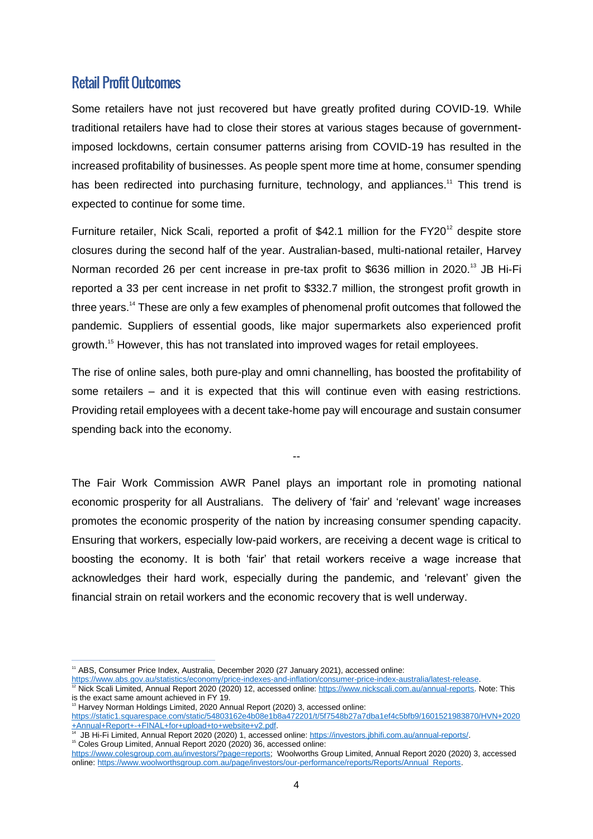## Retail Profit Outcomes

Some retailers have not just recovered but have greatly profited during COVID-19. While traditional retailers have had to close their stores at various stages because of governmentimposed lockdowns, certain consumer patterns arising from COVID-19 has resulted in the increased profitability of businesses. As people spent more time at home, consumer spending has been redirected into purchasing furniture, technology, and appliances.<sup>11</sup> This trend is expected to continue for some time.

Furniture retailer, Nick Scali, reported a profit of \$42.1 million for the  $FY20^{12}$  despite store closures during the second half of the year. Australian-based, multi-national retailer, Harvey Norman recorded 26 per cent increase in pre-tax profit to \$636 million in 2020.<sup>13</sup> JB Hi-Fi reported a 33 per cent increase in net profit to \$332.7 million, the strongest profit growth in three years.<sup>14</sup> These are only a few examples of phenomenal profit outcomes that followed the pandemic. Suppliers of essential goods, like major supermarkets also experienced profit growth.<sup>15</sup> However, this has not translated into improved wages for retail employees.

The rise of online sales, both pure-play and omni channelling, has boosted the profitability of some retailers – and it is expected that this will continue even with easing restrictions. Providing retail employees with a decent take-home pay will encourage and sustain consumer spending back into the economy.

--

The Fair Work Commission AWR Panel plays an important role in promoting national economic prosperity for all Australians. The delivery of 'fair' and 'relevant' wage increases promotes the economic prosperity of the nation by increasing consumer spending capacity. Ensuring that workers, especially low-paid workers, are receiving a decent wage is critical to boosting the economy. It is both 'fair' that retail workers receive a wage increase that acknowledges their hard work, especially during the pandemic, and 'relevant' given the financial strain on retail workers and the economic recovery that is well underway.

[+Annual+Report+-+FINAL+for+upload+to+website+v2.pdf.](https://static1.squarespace.com/static/54803162e4b08e1b8a472201/t/5f7548b27a7dba1ef4c5bfb9/1601521983870/HVN+2020+Annual+Report+-+FINAL+for+upload+to+website+v2.pdf) 14 JB Hi-Fi Limited, *Annual Report 2020* (2020) 1, accessed online: [https://investors.jbhifi.com.au/annual-reports/.](https://investors.jbhifi.com.au/annual-reports/) 

<sup>&</sup>lt;sup>11</sup> ABS, Consumer Price Index, Australia, December 2020 (27 January 2021), accessed online:

[https://www.abs.gov.au/statistics/economy/price-indexes-and-inflation/consumer-price-index-australia/latest-release.](https://www.abs.gov.au/statistics/economy/price-indexes-and-inflation/consumer-price-index-australia/latest-release) 

<sup>12</sup> Nick Scali Limited, *Annual Report 2020* (2020) 12, accessed online: [https://www.nickscali.com.au/annual-reports.](https://www.nickscali.com.au/annual-reports) Note: This is the exact same amount achieved in FY 19.

<sup>&</sup>lt;sup>13</sup> Harvey Norman Holdings Limited, 2020 Annual Report (2020) 3, accessed online: [https://static1.squarespace.com/static/54803162e4b08e1b8a472201/t/5f7548b27a7dba1ef4c5bfb9/1601521983870/HVN+2020](https://static1.squarespace.com/static/54803162e4b08e1b8a472201/t/5f7548b27a7dba1ef4c5bfb9/1601521983870/HVN+2020+Annual+Report+-+FINAL+for+upload+to+website+v2.pdf)

<sup>15</sup> Coles Group Limited, *Annual Report 2020* (2020) 36, accessed online:

[https://www.colesgroup.com.au/investors/?page=reports;](https://www.colesgroup.com.au/investors/?page=reports) Woolworths Group Limited, *Annual Report 2020* (2020) 3, accessed online: [https://www.woolworthsgroup.com.au/page/investors/our-performance/reports/Reports/Annual\\_Reports.](https://www.woolworthsgroup.com.au/page/investors/our-performance/reports/Reports/Annual_Reports)